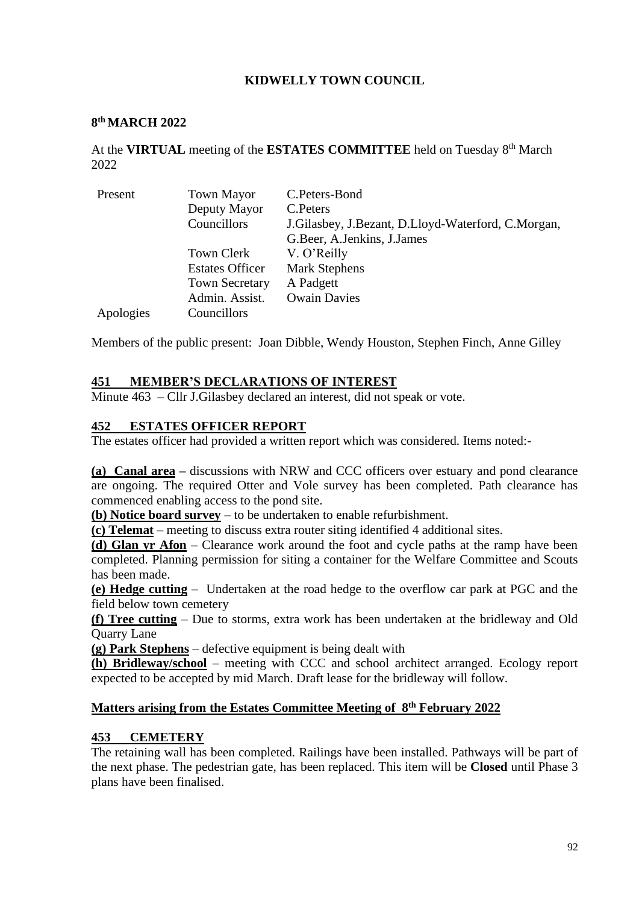## **KIDWELLY TOWN COUNCIL**

#### **8 th MARCH 2022**

At the VIRTUAL meeting of the ESTATES COMMITTEE held on Tuesday 8<sup>th</sup> March 2022

| Present   | <b>Town Mayor</b>      | C.Peters-Bond                                          |
|-----------|------------------------|--------------------------------------------------------|
|           | Deputy Mayor           | C. Peters                                              |
|           | Councillors            | J. Gilasbey, J. Bezant, D. Lloyd-Waterford, C. Morgan, |
|           |                        | G.Beer, A.Jenkins, J.James                             |
|           | Town Clerk             | V. O'Reilly                                            |
|           | <b>Estates Officer</b> | <b>Mark Stephens</b>                                   |
|           | <b>Town Secretary</b>  | A Padgett                                              |
|           | Admin. Assist.         | <b>Owain Davies</b>                                    |
| Apologies | Councillors            |                                                        |

Members of the public present: Joan Dibble, Wendy Houston, Stephen Finch, Anne Gilley

### **451 MEMBER'S DECLARATIONS OF INTEREST**

Minute 463 – Cllr J.Gilasbey declared an interest, did not speak or vote.

### **452 ESTATES OFFICER REPORT**

The estates officer had provided a written report which was considered. Items noted:-

**(a) Canal area –** discussions with NRW and CCC officers over estuary and pond clearance are ongoing. The required Otter and Vole survey has been completed. Path clearance has commenced enabling access to the pond site.

**(b) Notice board survey** – to be undertaken to enable refurbishment.

**(c) Telemat** – meeting to discuss extra router siting identified 4 additional sites.

**(d) Glan yr Afon** – Clearance work around the foot and cycle paths at the ramp have been completed. Planning permission for siting a container for the Welfare Committee and Scouts has been made.

**(e) Hedge cutting** – Undertaken at the road hedge to the overflow car park at PGC and the field below town cemetery

**(f) Tree cutting** – Due to storms, extra work has been undertaken at the bridleway and Old Quarry Lane

**(g) Park Stephens** – defective equipment is being dealt with

**(h) Bridleway/school** – meeting with CCC and school architect arranged. Ecology report expected to be accepted by mid March. Draft lease for the bridleway will follow.

#### **Matters arising from the Estates Committee Meeting of 8 th February 2022**

#### **453 CEMETERY**

The retaining wall has been completed. Railings have been installed. Pathways will be part of the next phase. The pedestrian gate, has been replaced. This item will be **Closed** until Phase 3 plans have been finalised.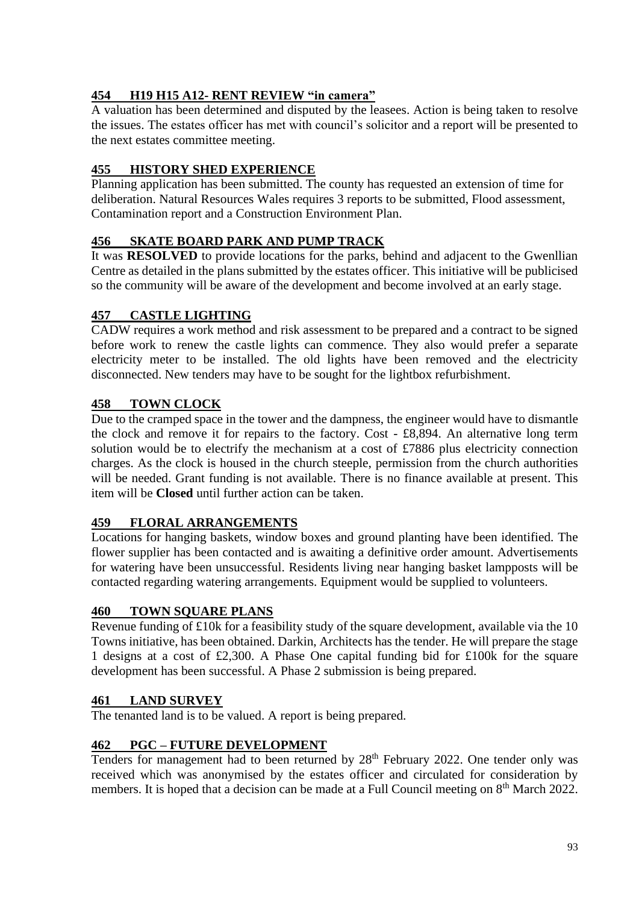# **454 H19 H15 A12- RENT REVIEW "in camera"**

A valuation has been determined and disputed by the leasees. Action is being taken to resolve the issues. The estates officer has met with council's solicitor and a report will be presented to the next estates committee meeting.

# **455 HISTORY SHED EXPERIENCE**

Planning application has been submitted. The county has requested an extension of time for deliberation. Natural Resources Wales requires 3 reports to be submitted, Flood assessment, Contamination report and a Construction Environment Plan.

## **456 SKATE BOARD PARK AND PUMP TRACK**

It was **RESOLVED** to provide locations for the parks, behind and adjacent to the Gwenllian Centre as detailed in the plans submitted by the estates officer. This initiative will be publicised so the community will be aware of the development and become involved at an early stage.

## **457 CASTLE LIGHTING**

CADW requires a work method and risk assessment to be prepared and a contract to be signed before work to renew the castle lights can commence. They also would prefer a separate electricity meter to be installed. The old lights have been removed and the electricity disconnected. New tenders may have to be sought for the lightbox refurbishment.

# **458 TOWN CLOCK**

Due to the cramped space in the tower and the dampness, the engineer would have to dismantle the clock and remove it for repairs to the factory. Cost - £8,894. An alternative long term solution would be to electrify the mechanism at a cost of £7886 plus electricity connection charges. As the clock is housed in the church steeple, permission from the church authorities will be needed. Grant funding is not available. There is no finance available at present. This item will be **Closed** until further action can be taken.

## **459 FLORAL ARRANGEMENTS**

Locations for hanging baskets, window boxes and ground planting have been identified. The flower supplier has been contacted and is awaiting a definitive order amount. Advertisements for watering have been unsuccessful. Residents living near hanging basket lampposts will be contacted regarding watering arrangements. Equipment would be supplied to volunteers.

### **460 TOWN SQUARE PLANS**

Revenue funding of £10k for a feasibility study of the square development, available via the 10 Towns initiative, has been obtained. Darkin, Architects has the tender. He will prepare the stage 1 designs at a cost of £2,300. A Phase One capital funding bid for £100k for the square development has been successful. A Phase 2 submission is being prepared.

### **461 LAND SURVEY**

The tenanted land is to be valued. A report is being prepared.

## **462 PGC – FUTURE DEVELOPMENT**

Tenders for management had to been returned by 28<sup>th</sup> February 2022. One tender only was received which was anonymised by the estates officer and circulated for consideration by members. It is hoped that a decision can be made at a Full Council meeting on 8<sup>th</sup> March 2022.